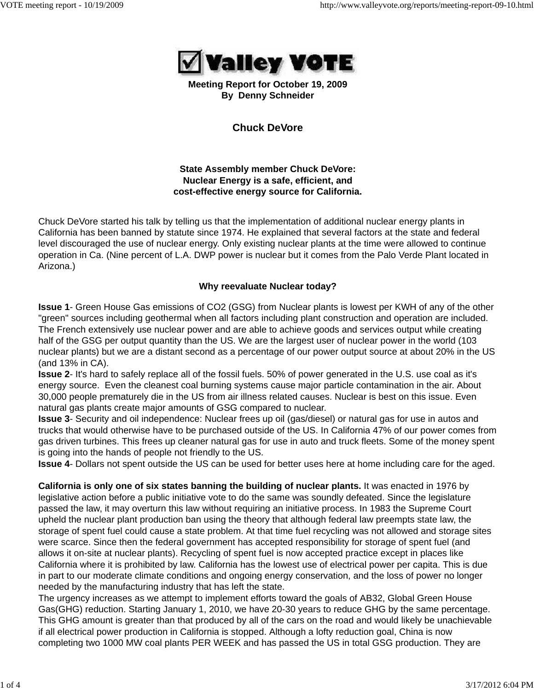

**Meeting Report for October 19, 2009 By Denny Schneider**

**Chuck DeVore**

**State Assembly member Chuck DeVore: Nuclear Energy is a safe, efficient, and cost-effective energy source for California.**

Chuck DeVore started his talk by telling us that the implementation of additional nuclear energy plants in California has been banned by statute since 1974. He explained that several factors at the state and federal level discouraged the use of nuclear energy. Only existing nuclear plants at the time were allowed to continue operation in Ca. (Nine percent of L.A. DWP power is nuclear but it comes from the Palo Verde Plant located in Arizona.)

### **Why reevaluate Nuclear today?**

**Issue 1**- Green House Gas emissions of CO2 (GSG) from Nuclear plants is lowest per KWH of any of the other "green" sources including geothermal when all factors including plant construction and operation are included. The French extensively use nuclear power and are able to achieve goods and services output while creating half of the GSG per output quantity than the US. We are the largest user of nuclear power in the world (103 nuclear plants) but we are a distant second as a percentage of our power output source at about 20% in the US (and 13% in CA).

**Issue 2**- It's hard to safely replace all of the fossil fuels. 50% of power generated in the U.S. use coal as it's energy source. Even the cleanest coal burning systems cause major particle contamination in the air. About 30,000 people prematurely die in the US from air illness related causes. Nuclear is best on this issue. Even natural gas plants create major amounts of GSG compared to nuclear.

**Issue 3**- Security and oil independence: Nuclear frees up oil (gas/diesel) or natural gas for use in autos and trucks that would otherwise have to be purchased outside of the US. In California 47% of our power comes from gas driven turbines. This frees up cleaner natural gas for use in auto and truck fleets. Some of the money spent is going into the hands of people not friendly to the US.

**Issue 4**- Dollars not spent outside the US can be used for better uses here at home including care for the aged.

**California is only one of six states banning the building of nuclear plants.** It was enacted in 1976 by legislative action before a public initiative vote to do the same was soundly defeated. Since the legislature passed the law, it may overturn this law without requiring an initiative process. In 1983 the Supreme Court upheld the nuclear plant production ban using the theory that although federal law preempts state law, the storage of spent fuel could cause a state problem. At that time fuel recycling was not allowed and storage sites were scarce. Since then the federal government has accepted responsibility for storage of spent fuel (and allows it on-site at nuclear plants). Recycling of spent fuel is now accepted practice except in places like California where it is prohibited by law. California has the lowest use of electrical power per capita. This is due in part to our moderate climate conditions and ongoing energy conservation, and the loss of power no longer needed by the manufacturing industry that has left the state.

The urgency increases as we attempt to implement efforts toward the goals of AB32, Global Green House Gas(GHG) reduction. Starting January 1, 2010, we have 20-30 years to reduce GHG by the same percentage. This GHG amount is greater than that produced by all of the cars on the road and would likely be unachievable if all electrical power production in California is stopped. Although a lofty reduction goal, China is now completing two 1000 MW coal plants PER WEEK and has passed the US in total GSG production. They are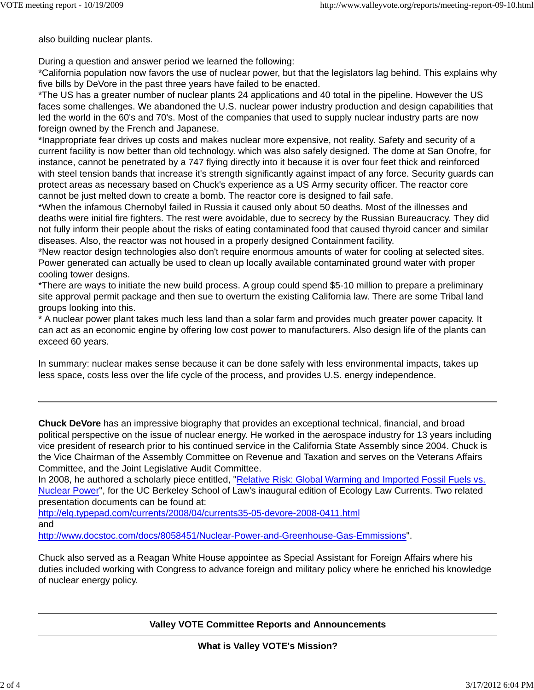also building nuclear plants.

During a question and answer period we learned the following:

\*California population now favors the use of nuclear power, but that the legislators lag behind. This explains why five bills by DeVore in the past three years have failed to be enacted.

\*The US has a greater number of nuclear plants 24 applications and 40 total in the pipeline. However the US faces some challenges. We abandoned the U.S. nuclear power industry production and design capabilities that led the world in the 60's and 70's. Most of the companies that used to supply nuclear industry parts are now foreign owned by the French and Japanese.

\*Inappropriate fear drives up costs and makes nuclear more expensive, not reality. Safety and security of a current facility is now better than old technology. which was also safely designed. The dome at San Onofre, for instance, cannot be penetrated by a 747 flying directly into it because it is over four feet thick and reinforced with steel tension bands that increase it's strength significantly against impact of any force. Security guards can protect areas as necessary based on Chuck's experience as a US Army security officer. The reactor core cannot be just melted down to create a bomb. The reactor core is designed to fail safe.

\*When the infamous Chernobyl failed in Russia it caused only about 50 deaths. Most of the illnesses and deaths were initial fire fighters. The rest were avoidable, due to secrecy by the Russian Bureaucracy. They did not fully inform their people about the risks of eating contaminated food that caused thyroid cancer and similar diseases. Also, the reactor was not housed in a properly designed Containment facility.

\*New reactor design technologies also don't require enormous amounts of water for cooling at selected sites. Power generated can actually be used to clean up locally available contaminated ground water with proper cooling tower designs.

\*There are ways to initiate the new build process. A group could spend \$5-10 million to prepare a preliminary site approval permit package and then sue to overturn the existing California law. There are some Tribal land groups looking into this.

\* A nuclear power plant takes much less land than a solar farm and provides much greater power capacity. It can act as an economic engine by offering low cost power to manufacturers. Also design life of the plants can exceed 60 years.

In summary: nuclear makes sense because it can be done safely with less environmental impacts, takes up less space, costs less over the life cycle of the process, and provides U.S. energy independence.

**Chuck DeVore** has an impressive biography that provides an exceptional technical, financial, and broad political perspective on the issue of nuclear energy. He worked in the aerospace industry for 13 years including vice president of research prior to his continued service in the California State Assembly since 2004. Chuck is the Vice Chairman of the Assembly Committee on Revenue and Taxation and serves on the Veterans Affairs Committee, and the Joint Legislative Audit Committee.

In 2008, he authored a scholarly piece entitled, "Relative Risk: Global Warming and Imported Fossil Fuels vs. Nuclear Power", for the UC Berkeley School of Law's inaugural edition of Ecology Law Currents. Two related presentation documents can be found at:

http://elq.typepad.com/currents/2008/04/currents35-05-devore-2008-0411.html

and

http://www.docstoc.com/docs/8058451/Nuclear-Power-and-Greenhouse-Gas-Emmissions".

Chuck also served as a Reagan White House appointee as Special Assistant for Foreign Affairs where his duties included working with Congress to advance foreign and military policy where he enriched his knowledge of nuclear energy policy.

### **Valley VOTE Committee Reports and Announcements**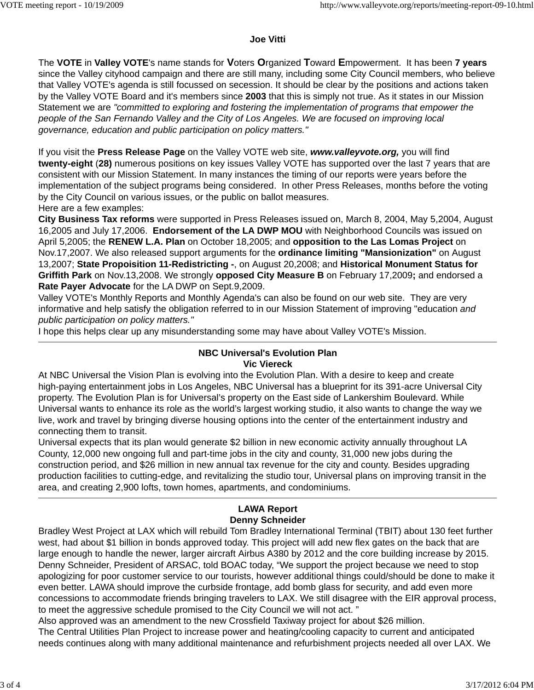### **Joe Vitti**

The **VOTE** in **Valley VOTE**'s name stands for **V**oters **O**rganized **T**oward **E**mpowerment. It has been **7 years** since the Valley cityhood campaign and there are still many, including some City Council members, who believe that Valley VOTE's agenda is still focussed on secession. It should be clear by the positions and actions taken by the Valley VOTE Board and it's members since **2003** that this is simply not true. As it states in our Mission Statement we are *"committed to exploring and fostering the implementation of programs that empower the people of the San Fernando Valley and the City of Los Angeles. We are focused on improving local governance, education and public participation on policy matters."* 

If you visit the **Press Release Page** on the Valley VOTE web site, *www.valleyvote.org,* you will find **twenty-eight** (**28)** numerous positions on key issues Valley VOTE has supported over the last 7 years that are consistent with our Mission Statement. In many instances the timing of our reports were years before the implementation of the subject programs being considered. In other Press Releases, months before the voting by the City Council on various issues, or the public on ballot measures. Here are a few examples:

**City Business Tax reforms** were supported in Press Releases issued on, March 8, 2004, May 5,2004, August 16,2005 and July 17,2006. **Endorsement of the LA DWP MOU** with Neighborhood Councils was issued on April 5,2005; the **RENEW L.A. Plan** on October 18,2005; and **opposition to the Las Lomas Project** on Nov.17,2007. We also released support arguments for the **ordinance limiting "Mansionization"** on August 13,2007; **State Propoisition 11-Redistricting -**, on August 20,2008; and **Historical Monument Status for Griffith Park** on Nov.13,2008. We strongly **opposed City Measure B** on February 17,2009**;** and endorsed a **Rate Payer Advocate** for the LA DWP on Sept.9,2009.

Valley VOTE's Monthly Reports and Monthly Agenda's can also be found on our web site. They are very informative and help satisfy the obligation referred to in our Mission Statement of improving "education *and public participation on policy matters."*

I hope this helps clear up any misunderstanding some may have about Valley VOTE's Mission.

## **NBC Universal's Evolution Plan Vic Viereck**

At NBC Universal the Vision Plan is evolving into the Evolution Plan. With a desire to keep and create high-paying entertainment jobs in Los Angeles, NBC Universal has a blueprint for its 391-acre Universal City property. The Evolution Plan is for Universal's property on the East side of Lankershim Boulevard. While Universal wants to enhance its role as the world's largest working studio, it also wants to change the way we live, work and travel by bringing diverse housing options into the center of the entertainment industry and connecting them to transit.

Universal expects that its plan would generate \$2 billion in new economic activity annually throughout LA County, 12,000 new ongoing full and part-time jobs in the city and county, 31,000 new jobs during the construction period, and \$26 million in new annual tax revenue for the city and county. Besides upgrading production facilities to cutting-edge, and revitalizing the studio tour, Universal plans on improving transit in the area, and creating 2,900 lofts, town homes, apartments, and condominiums.

# **LAWA Report Denny Schneider**

Bradley West Project at LAX which will rebuild Tom Bradley International Terminal (TBIT) about 130 feet further west, had about \$1 billion in bonds approved today. This project will add new flex gates on the back that are large enough to handle the newer, larger aircraft Airbus A380 by 2012 and the core building increase by 2015. Denny Schneider, President of ARSAC, told BOAC today, "We support the project because we need to stop apologizing for poor customer service to our tourists, however additional things could/should be done to make it even better. LAWA should improve the curbside frontage, add bomb glass for security, and add even more concessions to accommodate friends bringing travelers to LAX. We still disagree with the EIR approval process, to meet the aggressive schedule promised to the City Council we will not act. "

Also approved was an amendment to the new Crossfield Taxiway project for about \$26 million. The Central Utilities Plan Project to increase power and heating/cooling capacity to current and anticipated needs continues along with many additional maintenance and refurbishment projects needed all over LAX. We